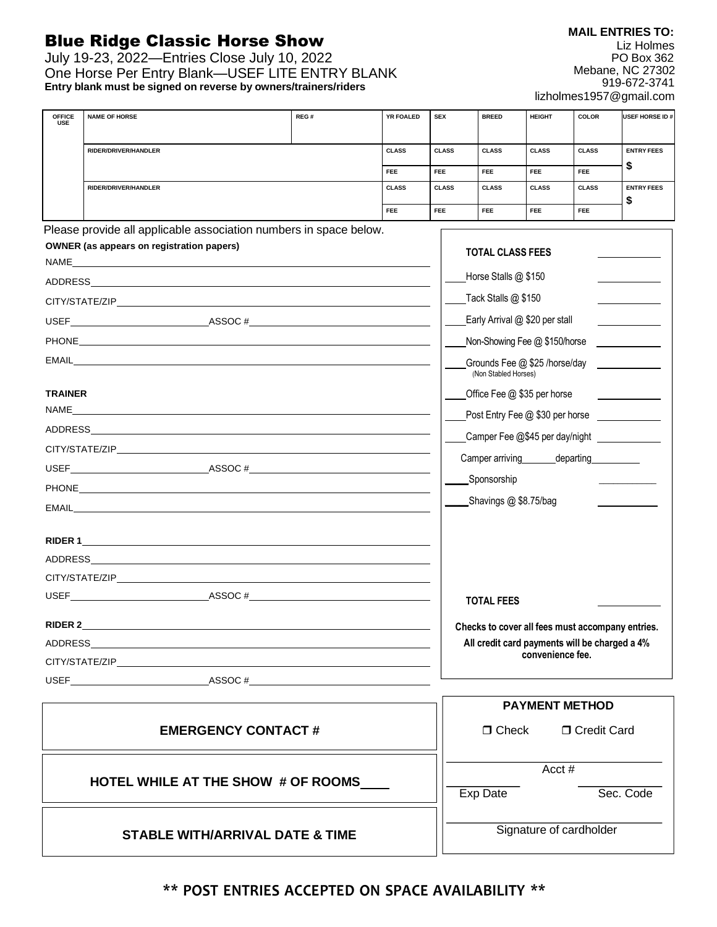## Blue Ridge Classic Horse Show

July 19-23, 2022—Entries Close July 10, 2022 One Horse Per Entry Blank—USEF LITE ENTRY BLANK **Entry blank must be signed on reverse by owners/trainers/riders**

| <b>OFFICE</b><br><b>USE</b>                | <b>NAME OF HORSE</b>                                                                                                                                                                                                           | REG# | YR FOALED    | <b>SEX</b>              | <b>BREED</b>                                     | <b>HEIGHT</b>         | <b>COLOR</b>         | USEF HORSE ID #   |
|--------------------------------------------|--------------------------------------------------------------------------------------------------------------------------------------------------------------------------------------------------------------------------------|------|--------------|-------------------------|--------------------------------------------------|-----------------------|----------------------|-------------------|
|                                            | RIDER/DRIVER/HANDLER                                                                                                                                                                                                           |      | <b>CLASS</b> | <b>CLASS</b>            | <b>CLASS</b>                                     | <b>CLASS</b>          | <b>CLASS</b>         | <b>ENTRY FEES</b> |
|                                            |                                                                                                                                                                                                                                |      | <b>FEE</b>   | FEE.                    | FEE                                              | FEE                   | <b>FEE</b>           | S                 |
|                                            | RIDER/DRIVER/HANDLER                                                                                                                                                                                                           |      | <b>CLASS</b> | <b>CLASS</b>            | <b>CLASS</b>                                     | <b>CLASS</b>          | <b>CLASS</b>         | <b>ENTRY FEES</b> |
|                                            |                                                                                                                                                                                                                                |      | <b>FEE</b>   | FEE.                    | <b>FEE</b>                                       | FEE                   | FEE                  | \$                |
|                                            | Please provide all applicable association numbers in space below.                                                                                                                                                              |      |              |                         |                                                  |                       |                      |                   |
|                                            | <b>OWNER</b> (as appears on registration papers)                                                                                                                                                                               |      |              |                         | <b>TOTAL CLASS FEES</b>                          |                       |                      |                   |
|                                            |                                                                                                                                                                                                                                |      |              |                         | Horse Stalls @ \$150                             |                       |                      |                   |
|                                            | CITY/STATE/ZIP                                                                                                                                                                                                                 |      |              |                         | Tack Stalls $@$ \$150                            |                       |                      |                   |
|                                            | USEF $\_\_\_\_\_\_\_\_\_$ ASSOC # $\_\_\_\_\_\_\_\_\_$                                                                                                                                                                         |      |              |                         | Early Arrival @ \$20 per stall                   |                       |                      |                   |
|                                            |                                                                                                                                                                                                                                |      |              |                         | Non-Showing Fee @ \$150/horse                    |                       |                      |                   |
|                                            |                                                                                                                                                                                                                                |      |              |                         | Grounds Fee @ \$25 /horse/day                    |                       |                      |                   |
|                                            |                                                                                                                                                                                                                                |      |              |                         | (Non Stabled Horses)                             |                       |                      |                   |
| <b>TRAINER</b>                             |                                                                                                                                                                                                                                |      |              |                         | Office Fee @ \$35 per horse                      |                       |                      |                   |
| NAME                                       |                                                                                                                                                                                                                                |      |              |                         | Post Entry Fee @ \$30 per horse                  |                       |                      |                   |
|                                            | ADDRESS AND THE STATE OF THE STATE OF THE STATE OF THE STATE OF THE STATE OF THE STATE OF THE STATE OF THE STATE OF THE STATE OF THE STATE OF THE STATE OF THE STATE OF THE STATE OF THE STATE OF THE STATE OF THE STATE OF TH |      |              |                         | Camper Fee @\$45 per day/night ______________    |                       |                      |                   |
|                                            |                                                                                                                                                                                                                                |      |              |                         | Camper arriving departing                        |                       |                      |                   |
|                                            |                                                                                                                                                                                                                                |      |              |                         | Sponsorship                                      |                       |                      |                   |
|                                            |                                                                                                                                                                                                                                |      |              |                         | Shavings @ \$8.75/bag                            |                       |                      |                   |
|                                            | EMAIL <b>Example 2006</b>                                                                                                                                                                                                      |      |              |                         |                                                  |                       |                      |                   |
|                                            |                                                                                                                                                                                                                                |      |              |                         |                                                  |                       |                      |                   |
|                                            |                                                                                                                                                                                                                                |      |              |                         |                                                  |                       |                      |                   |
|                                            |                                                                                                                                                                                                                                |      |              |                         |                                                  |                       |                      |                   |
|                                            |                                                                                                                                                                                                                                |      |              |                         | <b>TOTAL FEES</b>                                |                       |                      |                   |
|                                            | RIDER 2                                                                                                                                                                                                                        |      |              |                         | Checks to cover all fees must accompany entries. |                       |                      |                   |
|                                            |                                                                                                                                                                                                                                |      |              |                         | All credit card payments will be charged a 4%    |                       |                      |                   |
|                                            |                                                                                                                                                                                                                                |      |              |                         |                                                  | convenience fee.      |                      |                   |
|                                            | USEF ASSOC $#$                                                                                                                                                                                                                 |      |              |                         |                                                  |                       |                      |                   |
|                                            |                                                                                                                                                                                                                                |      |              |                         |                                                  | <b>PAYMENT METHOD</b> |                      |                   |
|                                            |                                                                                                                                                                                                                                |      |              |                         | $\Box$ Check                                     |                       |                      |                   |
|                                            | <b>EMERGENCY CONTACT#</b>                                                                                                                                                                                                      |      |              |                         |                                                  |                       | <b>D</b> Credit Card |                   |
|                                            |                                                                                                                                                                                                                                |      |              |                         |                                                  |                       |                      |                   |
| HOTEL WHILE AT THE SHOW # OF ROOMS         |                                                                                                                                                                                                                                |      |              |                         | Acct#                                            |                       |                      |                   |
|                                            |                                                                                                                                                                                                                                |      |              |                         | Exp Date                                         |                       |                      | Sec. Code         |
|                                            |                                                                                                                                                                                                                                |      |              |                         |                                                  |                       |                      |                   |
| <b>STABLE WITH/ARRIVAL DATE &amp; TIME</b> |                                                                                                                                                                                                                                |      |              | Signature of cardholder |                                                  |                       |                      |                   |

## **\*\* POST ENTRIES ACCEPTED ON SPACE AVAILABILITY \*\***